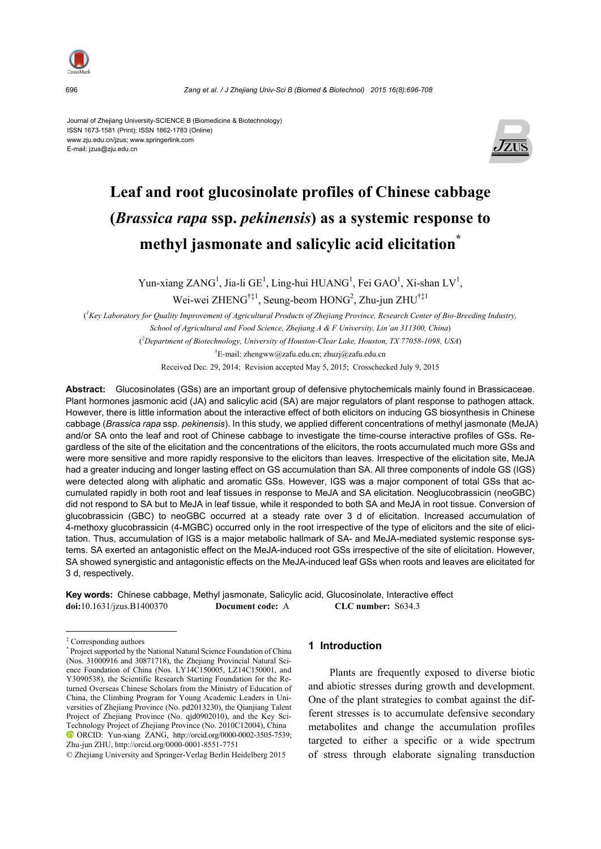

Journal of Zhejiang University-SCIENCE B (Biomedicine & Biotechnology) ISSN 1673-1581 (Print); ISSN 1862-1783 (Online) www.zju.edu.cn/jzus; www.springerlink.com E-mail: jzus@zju.edu.cn



# **Leaf and root glucosinolate profiles of Chinese cabbage (***Brassica rapa* **ssp.** *pekinensis***) as a systemic response to methyl jasmonate and salicylic acid elicitation\***

Yun-xiang ZANG<sup>1</sup>, Jia-li GE<sup>1</sup>, Ling-hui HUANG<sup>1</sup>, Fei GAO<sup>1</sup>, Xi-shan LV<sup>1</sup>,

Wei-wei ZHENG<sup>†‡1</sup>, Seung-beom HONG<sup>2</sup>, Zhu-jun ZHU<sup>†‡1</sup>

( *1 Key Laboratory for Quality Improvement of Agricultural Products of Zhejiang Province, Research Center of Bio-Breeding Industry, School of Agricultural and Food Science, Zhejiang A & F University, Lin'an 311300, China*) ( *2 Department of Biotechnology, University of Houston-Clear Lake, Houston, TX 77058-1098, USA*) † E-mail: zhengww@zafu.edu.cn; zhuzj@zafu.edu.cn

Received Dec. 29, 2014; Revision accepted May 5, 2015; Crosschecked July 9, 2015

**Abstract:** Glucosinolates (GSs) are an important group of defensive phytochemicals mainly found in Brassicaceae. Plant hormones jasmonic acid (JA) and salicylic acid (SA) are major regulators of plant response to pathogen attack. However, there is little information about the interactive effect of both elicitors on inducing GS biosynthesis in Chinese cabbage (*Brassica rapa* ssp. *pekinensis*). In this study, we applied different concentrations of methyl jasmonate (MeJA) and/or SA onto the leaf and root of Chinese cabbage to investigate the time-course interactive profiles of GSs. Regardless of the site of the elicitation and the concentrations of the elicitors, the roots accumulated much more GSs and were more sensitive and more rapidly responsive to the elicitors than leaves. Irrespective of the elicitation site, MeJA had a greater inducing and longer lasting effect on GS accumulation than SA. All three components of indole GS (IGS) were detected along with aliphatic and aromatic GSs. However, IGS was a major component of total GSs that accumulated rapidly in both root and leaf tissues in response to MeJA and SA elicitation. Neoglucobrassicin (neoGBC) did not respond to SA but to MeJA in leaf tissue, while it responded to both SA and MeJA in root tissue. Conversion of glucobrassicin (GBC) to neoGBC occurred at a steady rate over 3 d of elicitation. Increased accumulation of 4-methoxy glucobrassicin (4-MGBC) occurred only in the root irrespective of the type of elicitors and the site of elicitation. Thus, accumulation of IGS is a major metabolic hallmark of SA- and MeJA-mediated systemic response systems. SA exerted an antagonistic effect on the MeJA-induced root GSs irrespective of the site of elicitation. However, SA showed synergistic and antagonistic effects on the MeJA-induced leaf GSs when roots and leaves are elicitated for 3 d, respectively.

**Key words:** Chinese cabbage, Methyl jasmonate, Salicylic acid, Glucosinolate, Interactive effect **doi:**10.1631/jzus.B1400370 **Document code:** A **CLC number:** S634.3

## **1 Introduction**

Plants are frequently exposed to diverse biotic and abiotic stresses during growth and development. One of the plant strategies to combat against the different stresses is to accumulate defensive secondary metabolites and change the accumulation profiles targeted to either a specific or a wide spectrum of stress through elaborate signaling transduction

<sup>‡</sup> Corresponding authors

<sup>\*</sup> Project supported by the National Natural Science Foundation of China (Nos. 31000916 and 30871718), the Zhejiang Provincial Natural Science Foundation of China (Nos. LY14C150005, LZ14C150001, and Y3090538), the Scientific Research Starting Foundation for the Returned Overseas Chinese Scholars from the Ministry of Education of China, the Climbing Program for Young Academic Leaders in Universities of Zhejiang Province (No. pd2013230), the Qianjiang Talent Project of Zhejiang Province (No. qjd0902010), and the Key Sci-Technology Project of Zhejiang Province (No. 2010C12004), China ORCID: Yun-xiang ZANG, http://orcid.org/0000-0002-3505-7539; Zhu-jun ZHU, http://orcid.org/0000-0001-8551-7751

<sup>©</sup> Zhejiang University and Springer-Verlag Berlin Heidelberg 2015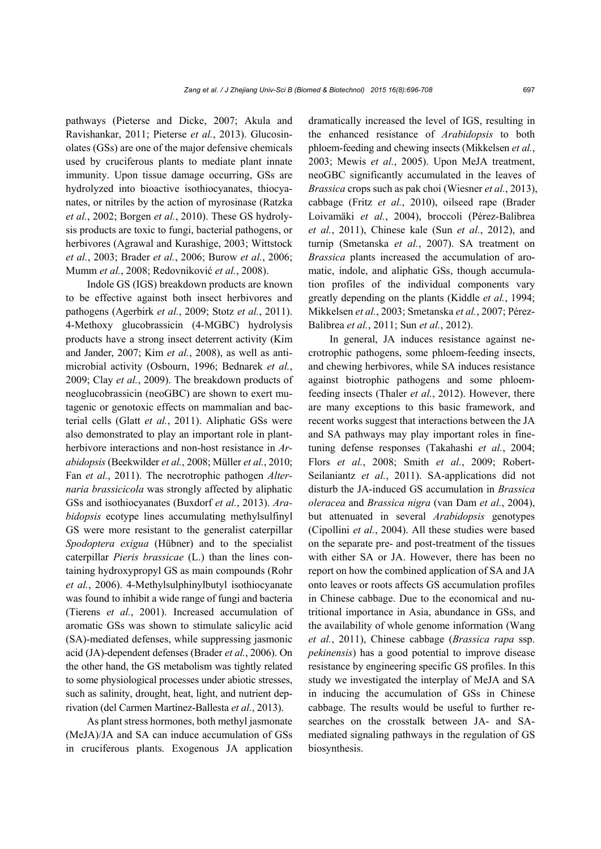pathways (Pieterse and Dicke, 2007; Akula and Ravishankar, 2011; Pieterse *et al.*, 2013). Glucosinolates (GSs) are one of the major defensive chemicals used by cruciferous plants to mediate plant innate immunity. Upon tissue damage occurring, GSs are hydrolyzed into bioactive isothiocyanates, thiocyanates, or nitriles by the action of myrosinase (Ratzka *et al.*, 2002; Borgen *et al.*, 2010). These GS hydrolysis products are toxic to fungi, bacterial pathogens, or herbivores (Agrawal and Kurashige, 2003; Wittstock *et al.*, 2003; Brader *et al.*, 2006; Burow *et al.*, 2006; Mumm *et al.*, 2008; Redovniković *et al.*, 2008).

Indole GS (IGS) breakdown products are known to be effective against both insect herbivores and pathogens (Agerbirk *et al.*, 2009; Stotz *et al.*, 2011). 4-Methoxy glucobrassicin (4-MGBC) hydrolysis products have a strong insect deterrent activity (Kim and Jander, 2007; Kim *et al.*, 2008), as well as antimicrobial activity (Osbourn, 1996; Bednarek *et al.*, 2009; Clay *et al.*, 2009). The breakdown products of neoglucobrassicin (neoGBC) are shown to exert mutagenic or genotoxic effects on mammalian and bacterial cells (Glatt *et al.*, 2011). Aliphatic GSs were also demonstrated to play an important role in plantherbivore interactions and non-host resistance in *Arabidopsis* (Beekwilder *et al.*, 2008; Müller *et al.*, 2010; Fan *et al.*, 2011). The necrotrophic pathogen *Alternaria brassicicola* was strongly affected by aliphatic GSs and isothiocyanates (Buxdorf *et al.*, 2013). *Arabidopsis* ecotype lines accumulating methylsulfinyl GS were more resistant to the generalist caterpillar *Spodoptera exigua* (Hübner) and to the specialist caterpillar *Pieris brassicae* (L.) than the lines containing hydroxypropyl GS as main compounds (Rohr *et al.*, 2006). 4-Methylsulphinylbutyl isothiocyanate was found to inhibit a wide range of fungi and bacteria (Tierens *et al.*, 2001). Increased accumulation of aromatic GSs was shown to stimulate salicylic acid (SA)-mediated defenses, while suppressing jasmonic acid (JA)-dependent defenses (Brader *et al.*, 2006). On the other hand, the GS metabolism was tightly related to some physiological processes under abiotic stresses, such as salinity, drought, heat, light, and nutrient deprivation (del Carmen Martínez-Ballesta *et al.*, 2013).

As plant stress hormones, both methyl jasmonate (MeJA)/JA and SA can induce accumulation of GSs in cruciferous plants. Exogenous JA application

dramatically increased the level of IGS, resulting in the enhanced resistance of *Arabidopsis* to both phloem-feeding and chewing insects (Mikkelsen *et al.*, 2003; Mewis *et al.*, 2005). Upon MeJA treatment, neoGBC significantly accumulated in the leaves of *Brassica* crops such as pak choi (Wiesner *et al.*, 2013), cabbage (Fritz *et al.*, 2010), oilseed rape (Brader Loivamäki *et al.*, 2004), broccoli (Pérez-Balibrea *et al.*, 2011), Chinese kale (Sun *et al.*, 2012), and turnip (Smetanska *et al.*, 2007). SA treatment on *Brassica* plants increased the accumulation of aromatic, indole, and aliphatic GSs, though accumulation profiles of the individual components vary greatly depending on the plants (Kiddle *et al.*, 1994; Mikkelsen *et al.*, 2003; Smetanska *et al.*, 2007; Pérez-Balibrea *et al.*, 2011; Sun *et al.*, 2012).

In general, JA induces resistance against necrotrophic pathogens, some phloem-feeding insects, and chewing herbivores, while SA induces resistance against biotrophic pathogens and some phloemfeeding insects (Thaler *et al.*, 2012). However, there are many exceptions to this basic framework, and recent works suggest that interactions between the JA and SA pathways may play important roles in finetuning defense responses (Takahashi *et al.*, 2004; Flors *et al.*, 2008; Smith *et al.*, 2009; Robert-Seilaniantz *et al.*, 2011). SA-applications did not disturb the JA-induced GS accumulation in *Brassica oleracea* and *Brassica nigra* (van Dam *et al.*, 2004), but attenuated in several *Arabidopsis* genotypes (Cipollini *et al.*, 2004). All these studies were based on the separate pre- and post-treatment of the tissues with either SA or JA. However, there has been no report on how the combined application of SA and JA onto leaves or roots affects GS accumulation profiles in Chinese cabbage. Due to the economical and nutritional importance in Asia, abundance in GSs, and the availability of whole genome information (Wang *et al.*, 2011), Chinese cabbage (*Brassica rapa* ssp. *pekinensis*) has a good potential to improve disease resistance by engineering specific GS profiles. In this study we investigated the interplay of MeJA and SA in inducing the accumulation of GSs in Chinese cabbage. The results would be useful to further researches on the crosstalk between JA- and SAmediated signaling pathways in the regulation of GS biosynthesis.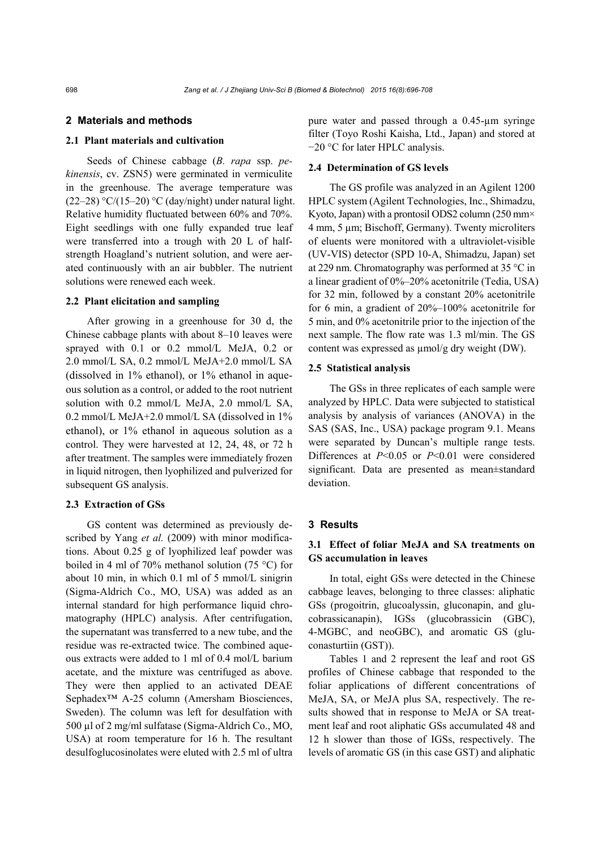#### **2 Materials and methods**

#### **2.1 Plant materials and cultivation**

Seeds of Chinese cabbage (*B. rapa* ssp. *pekinensis*, cv. ZSN5) were germinated in vermiculite in the greenhouse. The average temperature was  $(22–28) °C/(15–20) °C$  (day/night) under natural light. Relative humidity fluctuated between 60% and 70%. Eight seedlings with one fully expanded true leaf were transferred into a trough with 20 L of halfstrength Hoagland's nutrient solution, and were aerated continuously with an air bubbler. The nutrient solutions were renewed each week.

#### **2.2 Plant elicitation and sampling**

After growing in a greenhouse for 30 d, the Chinese cabbage plants with about 8–10 leaves were sprayed with 0.1 or 0.2 mmol/L MeJA, 0.2 or 2.0 mmol/L SA, 0.2 mmol/L MeJA+2.0 mmol/L SA (dissolved in 1% ethanol), or 1% ethanol in aqueous solution as a control, or added to the root nutrient solution with 0.2 mmol/L MeJA, 2.0 mmol/L SA, 0.2 mmol/L MeJA+2.0 mmol/L SA (dissolved in 1% ethanol), or 1% ethanol in aqueous solution as a control. They were harvested at 12, 24, 48, or 72 h after treatment. The samples were immediately frozen in liquid nitrogen, then lyophilized and pulverized for subsequent GS analysis.

#### **2.3 Extraction of GSs**

GS content was determined as previously described by Yang *et al.* (2009) with minor modifications. About 0.25 g of lyophilized leaf powder was boiled in 4 ml of 70% methanol solution (75 °C) for about 10 min, in which 0.1 ml of 5 mmol/L sinigrin (Sigma-Aldrich Co., MO, USA) was added as an internal standard for high performance liquid chromatography (HPLC) analysis. After centrifugation, the supernatant was transferred to a new tube, and the residue was re-extracted twice. The combined aqueous extracts were added to 1 ml of 0.4 mol/L barium acetate, and the mixture was centrifuged as above. They were then applied to an activated DEAE Sephadex™ A-25 column (Amersham Biosciences, Sweden). The column was left for desulfation with 500 µl of 2 mg/ml sulfatase (Sigma-Aldrich Co., MO, USA) at room temperature for 16 h. The resultant desulfoglucosinolates were eluted with 2.5 ml of ultra pure water and passed through a 0.45-µm syringe filter (Toyo Roshi Kaisha, Ltd., Japan) and stored at −20 °C for later HPLC analysis.

#### **2.4 Determination of GS levels**

The GS profile was analyzed in an Agilent 1200 HPLC system (Agilent Technologies, Inc., Shimadzu, Kyoto, Japan) with a prontosil ODS2 column (250 mm× 4 mm, 5 µm; Bischoff, Germany). Twenty microliters of eluents were monitored with a ultraviolet-visible (UV-VIS) detector (SPD 10-A, Shimadzu, Japan) set at 229 nm. Chromatography was performed at 35 °C in a linear gradient of 0%–20% acetonitrile (Tedia, USA) for 32 min, followed by a constant 20% acetonitrile for 6 min, a gradient of 20%–100% acetonitrile for 5 min, and 0% acetonitrile prior to the injection of the next sample. The flow rate was 1.3 ml/min. The GS content was expressed as µmol/g dry weight (DW).

#### **2.5 Statistical analysis**

The GSs in three replicates of each sample were analyzed by HPLC. Data were subjected to statistical analysis by analysis of variances (ANOVA) in the SAS (SAS, Inc., USA) package program 9.1. Means were separated by Duncan's multiple range tests. Differences at *P*<0.05 or *P*<0.01 were considered significant. Data are presented as mean±standard deviation.

#### **3 Results**

## **3.1 Effect of foliar MeJA and SA treatments on GS accumulation in leaves**

In total, eight GSs were detected in the Chinese cabbage leaves, belonging to three classes: aliphatic GSs (progoitrin, glucoalyssin, gluconapin, and glucobrassicanapin), IGSs (glucobrassicin (GBC), 4-MGBC, and neoGBC), and aromatic GS (gluconasturtiin (GST)).

Tables 1 and 2 represent the leaf and root GS profiles of Chinese cabbage that responded to the foliar applications of different concentrations of MeJA, SA, or MeJA plus SA, respectively. The results showed that in response to MeJA or SA treatment leaf and root aliphatic GSs accumulated 48 and 12 h slower than those of IGSs, respectively. The levels of aromatic GS (in this case GST) and aliphatic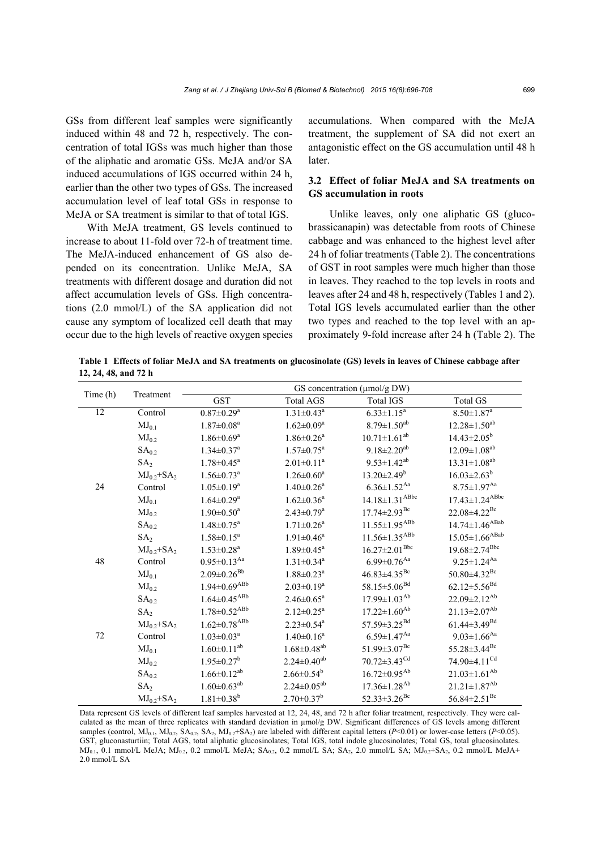GSs from different leaf samples were significantly induced within 48 and 72 h, respectively. The concentration of total IGSs was much higher than those of the aliphatic and aromatic GSs. MeJA and/or SA induced accumulations of IGS occurred within 24 h, earlier than the other two types of GSs. The increased accumulation level of leaf total GSs in response to MeJA or SA treatment is similar to that of total IGS.

With MeJA treatment, GS levels continued to increase to about 11-fold over 72-h of treatment time. The MeJA-induced enhancement of GS also depended on its concentration. Unlike MeJA, SA treatments with different dosage and duration did not affect accumulation levels of GSs. High concentrations (2.0 mmol/L) of the SA application did not cause any symptom of localized cell death that may occur due to the high levels of reactive oxygen species accumulations. When compared with the MeJA treatment, the supplement of SA did not exert an antagonistic effect on the GS accumulation until 48 h later.

## **3.2 Effect of foliar MeJA and SA treatments on GS accumulation in roots**

Unlike leaves, only one aliphatic GS (glucobrassicanapin) was detectable from roots of Chinese cabbage and was enhanced to the highest level after 24 h of foliar treatments (Table 2). The concentrations of GST in root samples were much higher than those in leaves. They reached to the top levels in roots and leaves after 24 and 48 h, respectively (Tables 1 and 2). Total IGS levels accumulated earlier than the other two types and reached to the top level with an approximately 9-fold increase after 24 h (Table 2). The

**Table 1 Effects of foliar MeJA and SA treatments on glucosinolate (GS) levels in leaves of Chinese cabbage after 12, 24, 48, and 72 h**

| Time (h) | Treatment                            | GS concentration ( $\mu$ mol/g DW) |                               |                                  |                                  |  |
|----------|--------------------------------------|------------------------------------|-------------------------------|----------------------------------|----------------------------------|--|
|          |                                      | <b>GST</b>                         | <b>Total AGS</b>              | <b>Total IGS</b>                 | <b>Total GS</b>                  |  |
| 12       | Control                              | $0.87 \pm 0.29$ <sup>a</sup>       | $1.31 \pm 0.43$ <sup>a</sup>  | $6.33 \pm 1.15^a$                | $8.50 \pm 1.87$ <sup>a</sup>     |  |
|          | $MJ_{01}$                            | $1.87 \pm 0.08$ <sup>a</sup>       | $1.62 \pm 0.09^a$             | $8.79 \pm 1.50^{ab}$             | $12.28 \pm 1.50^{ab}$            |  |
|          | $MJ_0$                               | $1.86 \pm 0.69$ <sup>a</sup>       | $1.86 \pm 0.26$ <sup>a</sup>  | $10.71 \pm 1.61^{ab}$            | $14.43 \pm 2.05^b$               |  |
|          | $SA_{0.2}$                           | $1.34 \pm 0.37$ <sup>a</sup>       | $1.57 \pm 0.75$ <sup>a</sup>  | $9.18 \pm 2.20^{ab}$             | $12.09 \pm 1.08^{ab}$            |  |
|          | SA <sub>2</sub>                      | $1.78 \pm 0.45^{\text{a}}$         | $2.01 \pm 0.11^a$             | $9.53 \pm 1.42^{ab}$             | $13.31 \pm 1.08^{ab}$            |  |
|          | $MJ_{0.2}+SA_{2}$                    | $1.56 \pm 0.73$ <sup>a</sup>       | $1.26 \pm 0.60^a$             | $13.20 \pm 2.49^b$               | $16.03 \pm 2.63^b$               |  |
| 24       | Control                              | $1.05 \pm 0.19^a$                  | $1.40 \pm 0.26$ <sup>a</sup>  | $6.36 \pm 1.52$ <sup>Aa</sup>    | $8.75 \pm 1.97^{Aa}$             |  |
|          | $MJ_{01}$                            | $1.64 \pm 0.29$ <sup>a</sup>       | $1.62 \pm 0.36^a$             | $14.18 \pm 1.31$ <sup>ABbc</sup> | $17.43 \pm 1.24$ <sup>ABbc</sup> |  |
|          | $MJ_0$                               | $1.90 \pm 0.50^{\text{a}}$         | $2.43 \pm 0.79$ <sup>a</sup>  | $17.74 \pm 2.93$ <sup>Bc</sup>   | $22.08 \pm 4.22$ <sup>Bc</sup>   |  |
|          | $SA_{0.2}$                           | $1.48 \pm 0.75$ <sup>a</sup>       | $1.71 \pm 0.26^a$             | $11.55 \pm 1.95^{ABb}$           | $14.74 \pm 1.46$ <sup>ABab</sup> |  |
|          | SA <sub>2</sub>                      | $1.58 \pm 0.15^a$                  | $1.91 \pm 0.46^a$             | $11.56 \pm 1.35$ <sup>ABb</sup>  | $15.05 \pm 1.66$ <sup>ABab</sup> |  |
|          | $MJ_0$ <sub>2</sub> +SA <sub>2</sub> | $1.53 \pm 0.28$ <sup>a</sup>       | $1.89 \pm 0.45$ <sup>a</sup>  | $16.27 \pm 2.01^{\rm Bbc}$       | $19.68 \pm 2.74$ <sup>Bbc</sup>  |  |
| 48       | Control                              | $0.95 \pm 0.13$ <sup>Aa</sup>      | $1.31 \pm 0.34$ <sup>a</sup>  | $6.99 \pm 0.76$ <sup>Aa</sup>    | $9.25 \pm 1.24$ <sup>Aa</sup>    |  |
|          | $MJ_{01}$                            | $2.09 \pm 0.26^{Bb}$               | $1.88 \pm 0.23$ <sup>a</sup>  | $46.83 \pm 4.35$ <sup>Bc</sup>   | $50.80 \pm 4.32$ <sup>Bc</sup>   |  |
|          | $MJ_{0.2}$                           | $1.94 \pm 0.69$ <sup>ABb</sup>     | $2.03 \pm 0.19^a$             | 58.15 $\pm$ 5.06 <sup>Bd</sup>   | $62.12 \pm 5.56^{Bd}$            |  |
|          | SA <sub>0.2</sub>                    | $1.64 \pm 0.45^{ABb}$              | $2.46 \pm 0.65^a$             | $17.99 \pm 1.03^{Ab}$            | $22.09 \pm 2.12^{Ab}$            |  |
|          | SA <sub>2</sub>                      | $1.78 \pm 0.52$ <sup>ABb</sup>     | $2.12 \pm 0.25^a$             | $17.22 \pm 1.60^{Ab}$            | $21.13 \pm 2.07^{Ab}$            |  |
|          | $MJ_0$ <sub>2</sub> +SA <sub>2</sub> | $1.62{\pm}0.78^\text{ABb}$         | $2.23 \pm 0.54$ <sup>a</sup>  | $57.59 \pm 3.25$ <sup>Bd</sup>   | $61.44 \pm 3.49^{Bd}$            |  |
| 72       | Control                              | $1.03 \pm 0.03^a$                  | $1.40 \pm 0.16^a$             | $6.59 \pm 1.47$ <sup>Aa</sup>    | $9.03 \pm 1.66^{Aa}$             |  |
|          | $MJ_{01}$                            | $1.60 \pm 0.11^{ab}$               | $1.68 \pm 0.48$ <sup>ab</sup> | 51.99 $\pm$ 3.07 <sup>Bc</sup>   | $55.28 \pm 3.44$ <sup>Bc</sup>   |  |
|          | $MJ_0$                               | $1.95 \pm 0.27^b$                  | $2.24 \pm 0.40^{ab}$          | $70.72 \pm 3.43^{\text{Cd}}$     | $74.90\pm4.11$ <sup>Cd</sup>     |  |
|          | $SA_{0.2}$                           | $1.66 \pm 0.12^{ab}$               | $2.66 \pm 0.54^b$             | $16.72 \pm 0.95^{Ab}$            | $21.03 \pm 1.61^{Ab}$            |  |
|          | SA <sub>2</sub>                      | $1.60 \pm 0.63^{ab}$               | $2.24 \pm 0.05^{ab}$          | $17.36 \pm 1.28$ <sup>Ab</sup>   | $21.21 \pm 1.87^{Ab}$            |  |
|          | $MJ_{0.2}+SA_{2}$                    | $1.81 \pm 0.38$ <sup>b</sup>       | $2.70 \pm 0.37^b$             | $52.33 \pm 3.26$ <sup>Bc</sup>   | 56.84 $\pm$ 2.51 <sup>Bc</sup>   |  |

Data represent GS levels of different leaf samples harvested at 12, 24, 48, and 72 h after foliar treatment, respectively. They were calculated as the mean of three replicates with standard deviation in µmol/g DW. Significant differences of GS levels among different samples (control,  $MJ_{0.1}$ ,  $MJ_{0.2}$ ,  $S_{A_{0.2}}$ ,  $S_{A_2}$ ,  $MJ_{0.2}$ +SA<sub>2</sub>) are labeled with different capital letters (*P*<0.01) or lower-case letters (*P*<0.05). GST, gluconasturtiin; Total AGS, total aliphatic glucosinolates; Total IGS, total indole glucosinolates; Total GS, total glucosinolates.  $MJ_{0.1}$ , 0.1 mmol/L MeJA;  $MJ_{0.2}$ , 0.2 mmol/L MeJA;  $SA_{0.2}$ , 0.2 mmol/L SA;  $SA_2$ , 2.0 mmol/L SA;  $MJ_{0.2}+SA_2$ , 0.2 mmol/L MeJA+ 2.0 mmol/L SA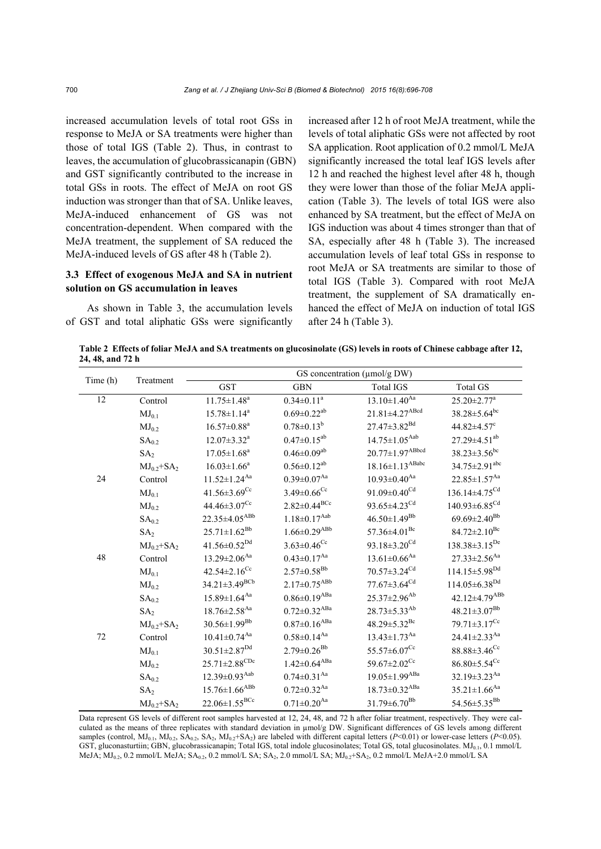increased accumulation levels of total root GSs in response to MeJA or SA treatments were higher than those of total IGS (Table 2). Thus, in contrast to leaves, the accumulation of glucobrassicanapin (GBN) and GST significantly contributed to the increase in total GSs in roots. The effect of MeJA on root GS induction was stronger than that of SA. Unlike leaves, MeJA-induced enhancement of GS was not concentration-dependent. When compared with the MeJA treatment, the supplement of SA reduced the MeJA-induced levels of GS after 48 h (Table 2).

## **3.3 Effect of exogenous MeJA and SA in nutrient solution on GS accumulation in leaves**

As shown in Table 3, the accumulation levels of GST and total aliphatic GSs were significantly

increased after 12 h of root MeJA treatment, while the levels of total aliphatic GSs were not affected by root SA application. Root application of 0.2 mmol/L MeJA significantly increased the total leaf IGS levels after 12 h and reached the highest level after 48 h, though they were lower than those of the foliar MeJA application (Table 3). The levels of total IGS were also enhanced by SA treatment, but the effect of MeJA on IGS induction was about 4 times stronger than that of SA, especially after 48 h (Table 3). The increased accumulation levels of leaf total GSs in response to root MeJA or SA treatments are similar to those of total IGS (Table 3). Compared with root MeJA treatment, the supplement of SA dramatically enhanced the effect of MeJA on induction of total IGS after 24 h (Table 3).

**Table 2 Effects of foliar MeJA and SA treatments on glucosinolate (GS) levels in roots of Chinese cabbage after 12, 24, 48, and 72 h** 

| Time (h) | Treatment                            | GS concentration (µmol/g DW)    |                                |                                   |                                 |
|----------|--------------------------------------|---------------------------------|--------------------------------|-----------------------------------|---------------------------------|
|          |                                      | <b>GST</b>                      | <b>GBN</b>                     | Total IGS                         | <b>Total GS</b>                 |
| 12       | Control                              | $11.75 \pm 1.48^a$              | $0.34 \pm 0.11$ <sup>a</sup>   | $13.10 \pm 1.40$ <sup>Aa</sup>    | $25.20 \pm 2.77^{\overline{a}}$ |
|          | $MJ_{01}$                            | $15.78 \pm 1.14^a$              | $0.69 \pm 0.22$ <sup>ab</sup>  | $21.81 \pm 4.27$ <sup>ABcd</sup>  | $38.28 \pm 5.64$ <sup>bc</sup>  |
|          | $MJ_0$                               | $16.57 \pm 0.88$ <sup>a</sup>   | $0.78 \pm 0.13^b$              | $27.47 \pm 3.82^{Bd}$             | $44.82 \pm 4.57$ °              |
|          | $SA_{0.2}$                           | $12.07 \pm 3.32$ <sup>a</sup>   | $0.47 \pm 0.15^{ab}$           | $14.75 \pm 1.05$ <sup>Aab</sup>   | $27.29 \pm 4.51^{ab}$           |
|          | SA <sub>2</sub>                      | $17.05 \pm 1.68$ <sup>a</sup>   | $0.46 \pm 0.09^{ab}$           | $20.77 \pm 1.97$ <sup>ABbcd</sup> | $38.23 \pm 3.56$ <sup>bc</sup>  |
|          | $MJ_{0.2}+SA_{2}$                    | $16.03 \pm 1.66^a$              | $0.56 \pm 0.12^{ab}$           | $18.16 \pm 1.13^{ABabc}$          | $34.75 \pm 2.91$ <sup>abc</sup> |
| 24       | Control                              | $11.52 \pm 1.24^{Aa}$           | $0.39 \pm 0.07^{Aa}$           | $10.93 \pm 0.40^{Aa}$             | $22.85 \pm 1.57^{Aa}$           |
|          | MJ <sub>01</sub>                     | $41.56 \pm 3.69$ <sup>Cc</sup>  | $3.49 \pm 0.66$ <sup>Cc</sup>  | 91.09 $\pm$ 0.40 <sup>Cd</sup>    | $136.14 \pm 4.75$ <sup>Cd</sup> |
|          | $MJ_0$                               | $44.46 \pm 3.07$ <sup>Cc</sup>  | $2.82 \pm 0.44$ <sup>BCc</sup> | 93.65 $\pm$ 4.23 <sup>Cd</sup>    | $140.93 \pm 6.85^{\text{Cd}}$   |
|          | $SA_{0.2}$                           | 22.35±4.05 <sup>ABb</sup>       | $1.18 \pm 0.17$ <sup>Aab</sup> | $46.50 \pm 1.49^{Bb}$             | $69.69 \pm 2.40^{Bb}$           |
|          | SA <sub>2</sub>                      | $25.71 \pm 1.62^{Bb}$           | $1.66 \pm 0.29$ <sup>ABb</sup> | 57.36 $\pm$ 4.01 <sup>Bc</sup>    | $84.72 \pm 2.10^{Bc}$           |
|          | $MJ_0$ <sub>2</sub> +SA <sub>2</sub> | 41.56 $\pm$ 0.52 <sup>Dd</sup>  | $3.63 \pm 0.46$ <sup>Cc</sup>  | $93.18 \pm 3.20^{Cd}$             | $138.38 \pm 3.15^{De}$          |
| 48       | Control                              | $13.29 \pm 2.06$ <sup>Aa</sup>  | $0.43 \pm 0.17$ <sup>Aa</sup>  | $13.61 \pm 0.66$ <sup>Aa</sup>    | $27.33 \pm 2.56$ <sup>Aa</sup>  |
|          | $MJ_{01}$                            | $42.54 \pm 2.16$ <sup>Cc</sup>  | $2.57 \pm 0.58$ <sup>Bb</sup>  | $70.57 \pm 3.24^{Cd}$             | $114.15 \pm 5.98^{Dd}$          |
|          | $MJ_{0.2}$                           | $34.21 \pm 3.49^{BCb}$          | $2.17 \pm 0.75$ <sup>ABb</sup> | $77.67 \pm 3.64$ <sup>Cd</sup>    | $114.05 \pm 6.38^{Dd}$          |
|          | SA <sub>0.2</sub>                    | $15.89 \pm 1.64^{Aa}$           | $0.86 \pm 0.19^\mathrm{ABa}$   | $25.37 \pm 2.96^{Ab}$             | 42.12±4.79 <sup>ABb</sup>       |
|          | SA <sub>2</sub>                      | $18.76 \pm 2.58$ <sup>Aa</sup>  | $0.72 \pm 0.32$ <sup>ABa</sup> | $28.73 \pm 5.33$ <sup>Ab</sup>    | $48.21 \pm 3.07^{Bb}$           |
|          | $MJ_{0.2}+SA_{2}$                    | $30.56 \pm 1.99^{Bb}$           | $0.87 \pm 0.16$ <sup>ABa</sup> | $48.29 \pm 5.32$ <sup>Bc</sup>    | $79.71 \pm 3.17$ <sup>Cc</sup>  |
| 72       | Control                              | $10.41 \pm 0.74$ <sup>Aa</sup>  | $0.58 \pm 0.14^{Aa}$           | $13.43 \pm 1.73$ <sup>Aa</sup>    | $24.41 \pm 2.33$ <sup>Aa</sup>  |
|          | $MJ_{0.1}$                           | $30.51 \pm 2.87$ <sup>Dd</sup>  | $2.79 \pm 0.26$ <sup>Bb</sup>  | 55.57 $\pm$ 6.07 <sup>Cc</sup>    | $88.88 \pm 3.46$ <sup>Cc</sup>  |
|          | $MJ_0$                               | $25.71 \pm 2.88^{CDC}$          | $1.42 \pm 0.64^{ABa}$          | 59.67 $\pm$ 2.02 <sup>Cc</sup>    | $86.80 \pm 5.54$ <sup>Cc</sup>  |
|          | SA <sub>0.2</sub>                    | $12.39 \pm 0.93^{\text{Aab}}$   | $0.74 \pm 0.31$ <sup>Aa</sup>  | $19.05 \pm 1.99$ <sup>ABa</sup>   | $32.19 \pm 3.23$ <sup>Aa</sup>  |
|          | SA <sub>2</sub>                      | $15.76 \pm 1.66$ <sup>ABb</sup> | $0.72 \pm 0.32$ <sup>Aa</sup>  | $18.73 \pm 0.32$ <sup>ABa</sup>   | $35.21 \pm 1.66$ <sup>Aa</sup>  |
|          | $MJ_{0.2}+SA_{2}$                    | $22.06 \pm 1.55^{\text{BCc}}$   | $0.71 \pm 0.20$ <sup>Aa</sup>  | $31.79 \pm 6.70$ <sup>Bb</sup>    | 54.56 $\pm$ 5.35 <sup>Bb</sup>  |

Data represent GS levels of different root samples harvested at 12, 24, 48, and 72 h after foliar treatment, respectively. They were calculated as the means of three replicates with standard deviation in  $\mu$ mol/g DW. Significant differences of GS levels among different samples (control,  $MJ_{0.1}$ ,  $MJ_{0.2}$ ,  $SA_{2.2}$ ,  $MJ_{0.2}+SA_{2}$ ) are labeled with different capital letters ( $P<0.01$ ) or lower-case letters ( $P<0.05$ ). GST, gluconasturtiin; GBN, glucobrassicanapin; Total IGS, total indole glucosinolates; Total GS, total glucosinolates.  $MJ_{0,1}$ , 0.1 mmol/L MeJA;  $MJ_{0.2}$ , 0.2 mmol/L MeJA;  $SA_{0.2}$ , 0.2 mmol/L  $SA$ ;  $SA_{2}$ , 2.0 mmol/L  $SA$ ;  $MJ_{0.2}$ + $SA_{2}$ , 0.2 mmol/L  $MeJA + 2.0$  mmol/L  $SA$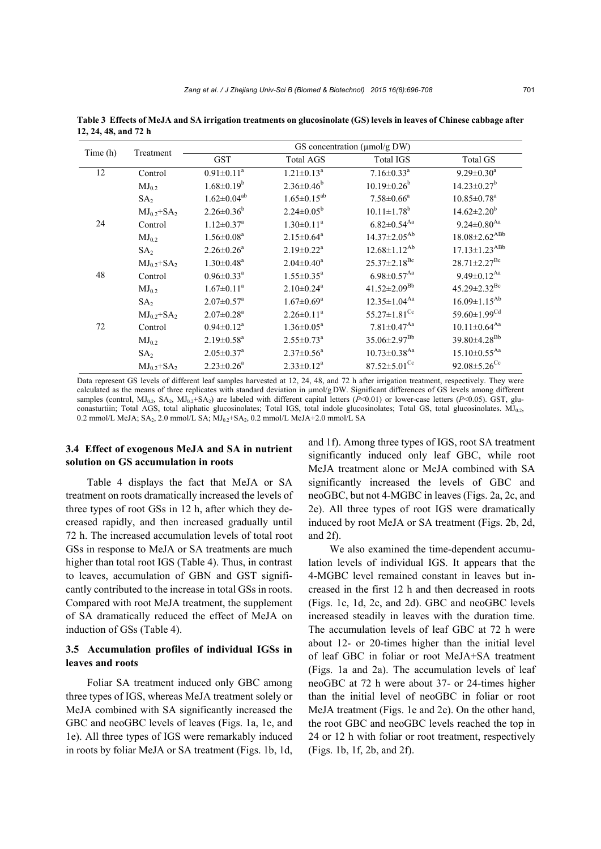| Time (h) | Treatment                            | GS concentration (µmol/g DW) |                              |                                |                                 |  |
|----------|--------------------------------------|------------------------------|------------------------------|--------------------------------|---------------------------------|--|
|          |                                      | <b>GST</b>                   | <b>Total AGS</b>             | <b>Total IGS</b>               | <b>Total GS</b>                 |  |
| 12       | Control                              | $0.91 \pm 0.11$ <sup>a</sup> | $1.21 \pm 0.13$ <sup>a</sup> | $7.16 \pm 0.33$ <sup>a</sup>   | $9.29 \pm 0.30^a$               |  |
|          | $MJ_{0.2}$                           | $1.68 \pm 0.19^b$            | $2.36 \pm 0.46^b$            | $10.19 \pm 0.26^b$             | $14.23 \pm 0.27^b$              |  |
|          | SA <sub>2</sub>                      | $1.62 \pm 0.04^{ab}$         | $1.65 \pm 0.15^{ab}$         | $7.58 \pm 0.66^a$              | $10.85 \pm 0.78$ <sup>a</sup>   |  |
|          | $MJ_0$ <sub>2</sub> +SA <sub>2</sub> | $2.26 \pm 0.36^b$            | $2.24 \pm 0.05^b$            | $10.11 \pm 1.78$ <sup>b</sup>  | $14.62 \pm 2.20^b$              |  |
| 24       | Control                              | $1.12 \pm 0.37$ <sup>a</sup> | $1.30 \pm 0.11$ <sup>a</sup> | $6.82 \pm 0.54$ <sup>Aa</sup>  | $9.24 \pm 0.80$ <sup>Aa</sup>   |  |
|          | $MJ_{0.2}$                           | $1.56 \pm 0.08^a$            | $2.15 \pm 0.64^a$            | $14.37 \pm 2.05^{Ab}$          | $18.08 \pm 2.62$ <sup>ABb</sup> |  |
|          | SA <sub>2</sub>                      | $2.26 \pm 0.26^a$            | $2.19 \pm 0.22$ <sup>a</sup> | $12.68 \pm 1.12^{Ab}$          | $17.13 \pm 1.23$ <sup>ABb</sup> |  |
|          | $MJ_{0.2}+SA_{2}$                    | $1.30 \pm 0.48$ <sup>a</sup> | $2.04 \pm 0.40^a$            | $25.37 \pm 2.18$ <sup>Bc</sup> | $28.71 \pm 2.27$ <sup>Bc</sup>  |  |
| 48       | Control                              | $0.96 \pm 0.33$ <sup>a</sup> | $1.55 \pm 0.35$ <sup>a</sup> | $6.98 \pm 0.57$ <sup>Aa</sup>  | $9.49 \pm 0.12^{Aa}$            |  |
|          | $MJ_{0.2}$                           | $1.67 \pm 0.11^a$            | $2.10 \pm 0.24$ <sup>a</sup> | $41.52 \pm 2.09^{Bb}$          | $45.29 \pm 2.32$ <sup>Bc</sup>  |  |
|          | SA <sub>2</sub>                      | $2.07 \pm 0.57$ <sup>a</sup> | $1.67 \pm 0.69$ <sup>a</sup> | $12.35 \pm 1.04^{Aa}$          | $16.09 \pm 1.15^{Ab}$           |  |
|          | $MJ_{0.2}+SA_{2}$                    | $2.07 \pm 0.28$ <sup>a</sup> | $2.26 \pm 0.11^a$            | $55.27 \pm 1.81$ <sup>Cc</sup> | 59.60±1.99 <sup>Cd</sup>        |  |
| 72       | Control                              | $0.94 \pm 0.12^a$            | $1.36 \pm 0.05^a$            | $7.81 \pm 0.47$ <sup>Aa</sup>  | $10.11 \pm 0.64$ <sup>Aa</sup>  |  |
|          | $MJ_{0.2}$                           | $2.19 \pm 0.58$ <sup>a</sup> | $2.55 \pm 0.73$ <sup>a</sup> | $35.06 \pm 2.97^{Bb}$          | 39.80±4.28 <sup>Bb</sup>        |  |
|          | SA <sub>2</sub>                      | $2.05 \pm 0.37$ <sup>a</sup> | $2.37 \pm 0.56^a$            | $10.73 \pm 0.38$ <sup>Aa</sup> | $15.10 \pm 0.55$ <sup>Aa</sup>  |  |
|          | $MJ_{0.2}+SA_{2}$                    | $2.23 \pm 0.26^a$            | $2.33 \pm 0.12^a$            | $87.52 \pm 5.01$ <sup>Cc</sup> | $92.08 \pm 5.26$ <sup>Cc</sup>  |  |

**Table 3 Effects of MeJA and SA irrigation treatments on glucosinolate (GS) levels in leaves of Chinese cabbage after 12, 24, 48, and 72 h**

Data represent GS levels of different leaf samples harvested at 12, 24, 48, and 72 h after irrigation treatment, respectively. They were calculated as the means of three replicates with standard deviation in  $\mu$ mol/g DW. Significant differences of GS levels among different samples (control, MJ<sub>0.2</sub>, SA<sub>2</sub>, MJ<sub>0.2</sub>+SA<sub>2</sub>) are labeled with different capital letters (*P*<0.01) or lower-case letters (*P*<0.05). GST, gluconasturtiin; Total AGS, total aliphatic glucosinolates; Total IGS, total indole glucosinolates; Total GS, total glucosinolates. MJ0.2, 0.2 mmol/L MeJA;  $SA_2$ , 2.0 mmol/L  $SA$ ;  $MJ_{0.2}+SA_2$ , 0.2 mmol/L MeJA+2.0 mmol/L  $SA$ 

#### **3.4 Effect of exogenous MeJA and SA in nutrient solution on GS accumulation in roots**

Table 4 displays the fact that MeJA or SA treatment on roots dramatically increased the levels of three types of root GSs in 12 h, after which they decreased rapidly, and then increased gradually until 72 h. The increased accumulation levels of total root GSs in response to MeJA or SA treatments are much higher than total root IGS (Table 4). Thus, in contrast to leaves, accumulation of GBN and GST significantly contributed to the increase in total GSs in roots. Compared with root MeJA treatment, the supplement of SA dramatically reduced the effect of MeJA on induction of GSs (Table 4).

### **3.5 Accumulation profiles of individual IGSs in leaves and roots**

Foliar SA treatment induced only GBC among three types of IGS, whereas MeJA treatment solely or MeJA combined with SA significantly increased the GBC and neoGBC levels of leaves (Figs. 1a, 1c, and 1e). All three types of IGS were remarkably induced in roots by foliar MeJA or SA treatment (Figs. 1b, 1d, and 1f). Among three types of IGS, root SA treatment significantly induced only leaf GBC, while root MeJA treatment alone or MeJA combined with SA significantly increased the levels of GBC and neoGBC, but not 4-MGBC in leaves (Figs. 2a, 2c, and 2e). All three types of root IGS were dramatically induced by root MeJA or SA treatment (Figs. 2b, 2d, and 2f).

We also examined the time-dependent accumulation levels of individual IGS. It appears that the 4-MGBC level remained constant in leaves but increased in the first 12 h and then decreased in roots (Figs. 1c, 1d, 2c, and 2d). GBC and neoGBC levels increased steadily in leaves with the duration time. The accumulation levels of leaf GBC at 72 h were about 12- or 20-times higher than the initial level of leaf GBC in foliar or root MeJA+SA treatment (Figs. 1a and 2a). The accumulation levels of leaf neoGBC at 72 h were about 37- or 24-times higher than the initial level of neoGBC in foliar or root MeJA treatment (Figs. 1e and 2e). On the other hand, the root GBC and neoGBC levels reached the top in 24 or 12 h with foliar or root treatment, respectively (Figs. 1b, 1f, 2b, and 2f).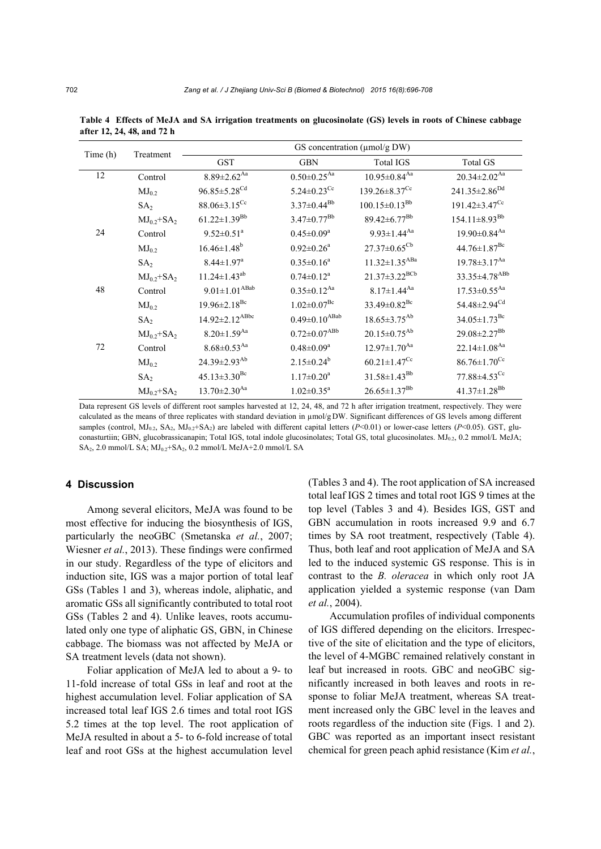| Time (h) | Treatment                            | GS concentration (µmol/g DW)   |                               |                                 |                                 |  |
|----------|--------------------------------------|--------------------------------|-------------------------------|---------------------------------|---------------------------------|--|
|          |                                      | <b>GST</b>                     | <b>GBN</b>                    | Total IGS                       | Total GS                        |  |
| 12       | Control                              | $8.89 \pm 2.62^{Aa}$           | $0.50 \pm 0.25$ <sup>Aa</sup> | $10.95 \pm 0.84$ <sup>Aa</sup>  | $20.34 \pm 2.02$ <sup>Aa</sup>  |  |
|          | $MJ_{0.2}$                           | $96.85 \pm 5.28$ <sup>Cd</sup> | $5.24 \pm 0.23$ <sup>Cc</sup> | $139.26 \pm 8.37$ <sup>Cc</sup> | $241.35 \pm 2.86^{Dd}$          |  |
|          | SA <sub>2</sub>                      | $88.06 \pm 3.15$ <sup>Cc</sup> | $3.37 \pm 0.44$ <sup>Bb</sup> | $100.15 \pm 0.13^{Bb}$          | $191.42 \pm 3.47$ <sup>Cc</sup> |  |
|          | $MJ_{0.2}+SA_{2}$                    | $61.22 \pm 1.39^{Bb}$          | $3.47 \pm 0.77^{Bb}$          | 89.42 $\pm$ 6.77 <sup>Bb</sup>  | $154.11 \pm 8.93^{Bb}$          |  |
| 24       | Control                              | $9.52 \pm 0.51$ <sup>a</sup>   | $0.45 \pm 0.09^a$             | $9.93 \pm 1.44^{Aa}$            | $19.90 \pm 0.84^{Aa}$           |  |
|          | $MJ_0$                               | $16.46 \pm 1.48^b$             | $0.92 \pm 0.26$ <sup>a</sup>  | $27.37 \pm 0.65^{\text{Cb}}$    | $44.76 \pm 1.87$ <sup>Bc</sup>  |  |
|          | SA <sub>2</sub>                      | $8.44 \pm 1.97$ <sup>a</sup>   | $0.35 \pm 0.16^a$             | $11.32 \pm 1.35$ <sup>ABa</sup> | $19.78 \pm 3.17$ <sup>Aa</sup>  |  |
|          | $MJ_{0.2}+SA_{2}$                    | $11.24 \pm 1.43^{ab}$          | $0.74 \pm 0.12^a$             | $21.37 \pm 3.22^{BCb}$          | 33.35±4.78 <sup>ABb</sup>       |  |
| 48       | Control                              | $9.01 \pm 1.01^{ABab}$         | $0.35 \pm 0.12$ <sup>Aa</sup> | $8.17 \pm 1.44$ <sup>Aa</sup>   | $17.53 \pm 0.55$ <sup>Aa</sup>  |  |
|          | $MJ_{0.2}$                           | $19.96 \pm 2.18$ <sup>Bc</sup> | $1.02 \pm 0.07$ <sup>Bc</sup> | $33.49 \pm 0.82$ <sup>Bc</sup>  | 54.48±2.94 <sup>Cd</sup>        |  |
|          | SA <sub>2</sub>                      | $14.92 \pm 2.12^{ABbc}$        | $0.49 \pm 0.10^{ABab}$        | $18.65 \pm 3.75$ <sup>Ab</sup>  | $34.05 \pm 1.73$ <sup>Bc</sup>  |  |
|          | $MJ_0$ <sub>2</sub> +SA <sub>2</sub> | $8.20 \pm 1.59$ <sup>Aa</sup>  | $0.72 \pm 0.07^{ABb}$         | $20.15 \pm 0.75$ <sup>Ab</sup>  | 29.08±2.27 <sup>Bb</sup>        |  |
| 72       | Control                              | $8.68 \pm 0.53$ <sup>Aa</sup>  | $0.48 \pm 0.09^a$             | $12.97 \pm 1.70$ <sup>Aa</sup>  | $22.14 \pm 1.08$ <sup>Aa</sup>  |  |
|          | $MJ_{02}$                            | $24.39 \pm 2.93^{Ab}$          | $2.15 \pm 0.24^b$             | $60.21 \pm 1.47$ <sup>Cc</sup>  | $86.76 \pm 1.70$ <sup>Cc</sup>  |  |
|          | SA <sub>2</sub>                      | $45.13 \pm 3.30$ <sup>Bc</sup> | $1.17 \pm 0.20$ <sup>a</sup>  | $31.58 \pm 1.43^{Bb}$           | $77.88 \pm 4.53$ <sup>Cc</sup>  |  |
|          | $MJ_{0.2}+SA_{2}$                    | $13.70 \pm 2.30$ <sup>Aa</sup> | $1.02 \pm 0.35$ <sup>a</sup>  | $26.65 \pm 1.37^{Bb}$           | $41.37 \pm 1.28^{Bb}$           |  |

**Table 4 Effects of MeJA and SA irrigation treatments on glucosinolate (GS) levels in roots of Chinese cabbage after 12, 24, 48, and 72 h** 

Data represent GS levels of different root samples harvested at 12, 24, 48, and 72 h after irrigation treatment, respectively. They were calculated as the means of three replicates with standard deviation in  $\mu$ mol/g DW. Significant differences of GS levels among different samples (control,  $MJ_{0,2}$ ,  $SA_2$ ,  $MJ_{0,2}$ +SA<sub>2</sub>) are labeled with different capital letters (*P*<0.01) or lower-case letters (*P*<0.05). GST, gluconasturtiin; GBN, glucobrassicanapin; Total IGS, total indole glucosinolates; Total GS, total glucosinolates. MJ<sub>0.2</sub>, 0.2 mmol/L MeJA;  $SA<sub>2</sub>$ , 2.0 mmol/L SA;  $MJ<sub>0.2</sub>+SA<sub>2</sub>$ , 0.2 mmol/L MeJA+2.0 mmol/L SA

#### **4 Discussion**

Among several elicitors, MeJA was found to be most effective for inducing the biosynthesis of IGS, particularly the neoGBC (Smetanska *et al.*, 2007; Wiesner *et al.*, 2013). These findings were confirmed in our study. Regardless of the type of elicitors and induction site, IGS was a major portion of total leaf GSs (Tables 1 and 3), whereas indole, aliphatic, and aromatic GSs all significantly contributed to total root GSs (Tables 2 and 4). Unlike leaves, roots accumulated only one type of aliphatic GS, GBN, in Chinese cabbage. The biomass was not affected by MeJA or SA treatment levels (data not shown).

Foliar application of MeJA led to about a 9- to 11-fold increase of total GSs in leaf and root at the highest accumulation level. Foliar application of SA increased total leaf IGS 2.6 times and total root IGS 5.2 times at the top level. The root application of MeJA resulted in about a 5- to 6-fold increase of total leaf and root GSs at the highest accumulation level (Tables 3 and 4). The root application of SA increased total leaf IGS 2 times and total root IGS 9 times at the top level (Tables 3 and 4). Besides IGS, GST and GBN accumulation in roots increased 9.9 and 6.7 times by SA root treatment, respectively (Table 4). Thus, both leaf and root application of MeJA and SA led to the induced systemic GS response. This is in contrast to the *B. oleracea* in which only root JA application yielded a systemic response (van Dam *et al.*, 2004).

Accumulation profiles of individual components of IGS differed depending on the elicitors. Irrespective of the site of elicitation and the type of elicitors, the level of 4-MGBC remained relatively constant in leaf but increased in roots. GBC and neoGBC significantly increased in both leaves and roots in response to foliar MeJA treatment, whereas SA treatment increased only the GBC level in the leaves and roots regardless of the induction site (Figs. 1 and 2). GBC was reported as an important insect resistant chemical for green peach aphid resistance (Kim *et al.*,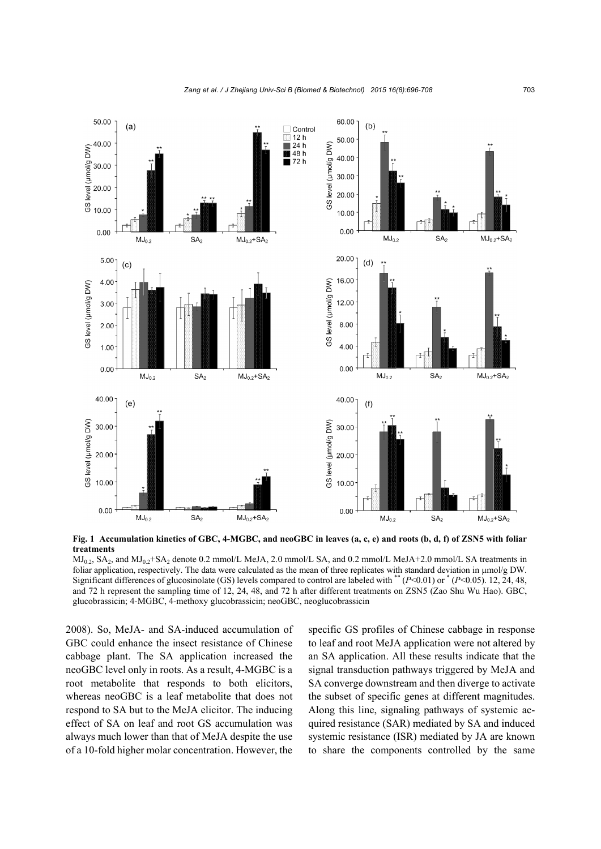

**Fig. 1 Accumulation kinetics of GBC, 4-MGBC, and neoGBC in leaves (a, c, e) and roots (b, d, f) of ZSN5 with foliar treatments** 

 $MJ_{0.2}$ , SA<sub>2</sub>, and  $MJ_{0.2}$ +SA<sub>2</sub> denote 0.2 mmol/L MeJA, 2.0 mmol/L SA, and 0.2 mmol/L MeJA+2.0 mmol/L SA treatments in foliar application, respectively. The data were calculated as the mean of three replicates with standard deviation in  $\mu$ mol/g DW. Significant differences of glucosinolate (GS) levels compared to control are labeled with \*\* (*P*<0.01) or \* (*P*<0.05). 12, 24, 48, and 72 h represent the sampling time of 12, 24, 48, and 72 h after different treatments on ZSN5 (Zao Shu Wu Hao). GBC, glucobrassicin; 4-MGBC, 4-methoxy glucobrassicin; neoGBC, neoglucobrassicin

2008). So, MeJA- and SA-induced accumulation of GBC could enhance the insect resistance of Chinese cabbage plant. The SA application increased the neoGBC level only in roots. As a result, 4-MGBC is a root metabolite that responds to both elicitors, whereas neoGBC is a leaf metabolite that does not respond to SA but to the MeJA elicitor. The inducing effect of SA on leaf and root GS accumulation was always much lower than that of MeJA despite the use of a 10-fold higher molar concentration. However, the specific GS profiles of Chinese cabbage in response to leaf and root MeJA application were not altered by an SA application. All these results indicate that the signal transduction pathways triggered by MeJA and SA converge downstream and then diverge to activate the subset of specific genes at different magnitudes. Along this line, signaling pathways of systemic acquired resistance (SAR) mediated by SA and induced systemic resistance (ISR) mediated by JA are known to share the components controlled by the same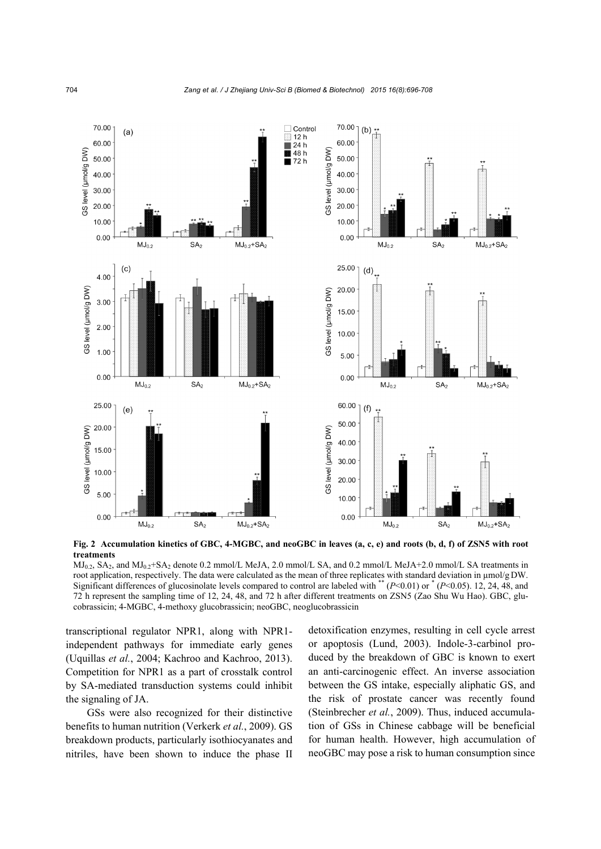

**Fig. 2 Accumulation kinetics of GBC, 4-MGBC, and neoGBC in leaves (a, c, e) and roots (b, d, f) of ZSN5 with root treatments** 

 $MJ_{0,2}$ , SA<sub>2</sub>, and  $MJ_{0,2}$ +SA<sub>2</sub> denote 0.2 mmol/L MeJA, 2.0 mmol/L SA, and 0.2 mmol/L MeJA+2.0 mmol/L SA treatments in root application, respectively. The data were calculated as the mean of three replicates with standard deviation in µmol/g DW. Significant differences of glucosinolate levels compared to control are labeled with \*\* (*P*<0.01) or \* (*P*<0.05). 12, 24, 48, and 72 h represent the sampling time of 12, 24, 48, and 72 h after different treatments on ZSN5 (Zao Shu Wu Hao). GBC, glucobrassicin; 4-MGBC, 4-methoxy glucobrassicin; neoGBC, neoglucobrassicin

transcriptional regulator NPR1, along with NPR1 independent pathways for immediate early genes (Uquillas *et al.*, 2004; Kachroo and Kachroo, 2013). Competition for NPR1 as a part of crosstalk control by SA-mediated transduction systems could inhibit the signaling of JA.

GSs were also recognized for their distinctive benefits to human nutrition (Verkerk *et al.*, 2009). GS breakdown products, particularly isothiocyanates and nitriles, have been shown to induce the phase II detoxification enzymes, resulting in cell cycle arrest or apoptosis (Lund, 2003). Indole-3-carbinol produced by the breakdown of GBC is known to exert an anti-carcinogenic effect. An inverse association between the GS intake, especially aliphatic GS, and the risk of prostate cancer was recently found (Steinbrecher *et al.*, 2009). Thus, induced accumulation of GSs in Chinese cabbage will be beneficial for human health. However, high accumulation of neoGBC may pose a risk to human consumption since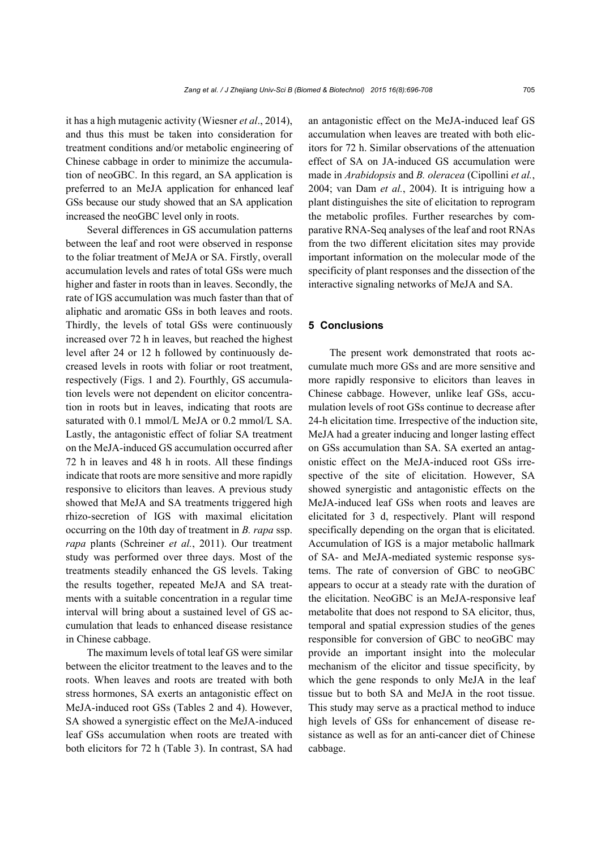it has a high mutagenic activity (Wiesner *et al*., 2014), and thus this must be taken into consideration for treatment conditions and/or metabolic engineering of Chinese cabbage in order to minimize the accumulation of neoGBC. In this regard, an SA application is preferred to an MeJA application for enhanced leaf GSs because our study showed that an SA application increased the neoGBC level only in roots.

Several differences in GS accumulation patterns between the leaf and root were observed in response to the foliar treatment of MeJA or SA. Firstly, overall accumulation levels and rates of total GSs were much higher and faster in roots than in leaves. Secondly, the rate of IGS accumulation was much faster than that of aliphatic and aromatic GSs in both leaves and roots. Thirdly, the levels of total GSs were continuously increased over 72 h in leaves, but reached the highest level after 24 or 12 h followed by continuously decreased levels in roots with foliar or root treatment, respectively (Figs. 1 and 2). Fourthly, GS accumulation levels were not dependent on elicitor concentration in roots but in leaves, indicating that roots are saturated with 0.1 mmol/L MeJA or 0.2 mmol/L SA. Lastly, the antagonistic effect of foliar SA treatment on the MeJA-induced GS accumulation occurred after 72 h in leaves and 48 h in roots. All these findings indicate that roots are more sensitive and more rapidly responsive to elicitors than leaves. A previous study showed that MeJA and SA treatments triggered high rhizo-secretion of IGS with maximal elicitation occurring on the 10th day of treatment in *B. rapa* ssp. *rapa* plants (Schreiner *et al.*, 2011). Our treatment study was performed over three days. Most of the treatments steadily enhanced the GS levels. Taking the results together, repeated MeJA and SA treatments with a suitable concentration in a regular time interval will bring about a sustained level of GS accumulation that leads to enhanced disease resistance in Chinese cabbage.

The maximum levels of total leaf GS were similar between the elicitor treatment to the leaves and to the roots. When leaves and roots are treated with both stress hormones, SA exerts an antagonistic effect on MeJA-induced root GSs (Tables 2 and 4). However, SA showed a synergistic effect on the MeJA-induced leaf GSs accumulation when roots are treated with both elicitors for 72 h (Table 3). In contrast, SA had an antagonistic effect on the MeJA-induced leaf GS accumulation when leaves are treated with both elicitors for 72 h. Similar observations of the attenuation effect of SA on JA-induced GS accumulation were made in *Arabidopsis* and *B. oleracea* (Cipollini *et al.*, 2004; van Dam *et al.*, 2004). It is intriguing how a plant distinguishes the site of elicitation to reprogram the metabolic profiles. Further researches by comparative RNA-Seq analyses of the leaf and root RNAs from the two different elicitation sites may provide important information on the molecular mode of the specificity of plant responses and the dissection of the interactive signaling networks of MeJA and SA.

#### **5 Conclusions**

The present work demonstrated that roots accumulate much more GSs and are more sensitive and more rapidly responsive to elicitors than leaves in Chinese cabbage. However, unlike leaf GSs, accumulation levels of root GSs continue to decrease after 24-h elicitation time. Irrespective of the induction site, MeJA had a greater inducing and longer lasting effect on GSs accumulation than SA. SA exerted an antagonistic effect on the MeJA-induced root GSs irrespective of the site of elicitation. However, SA showed synergistic and antagonistic effects on the MeJA-induced leaf GSs when roots and leaves are elicitated for 3 d, respectively. Plant will respond specifically depending on the organ that is elicitated. Accumulation of IGS is a major metabolic hallmark of SA- and MeJA-mediated systemic response systems. The rate of conversion of GBC to neoGBC appears to occur at a steady rate with the duration of the elicitation. NeoGBC is an MeJA-responsive leaf metabolite that does not respond to SA elicitor, thus, temporal and spatial expression studies of the genes responsible for conversion of GBC to neoGBC may provide an important insight into the molecular mechanism of the elicitor and tissue specificity, by which the gene responds to only MeJA in the leaf tissue but to both SA and MeJA in the root tissue. This study may serve as a practical method to induce high levels of GSs for enhancement of disease resistance as well as for an anti-cancer diet of Chinese cabbage.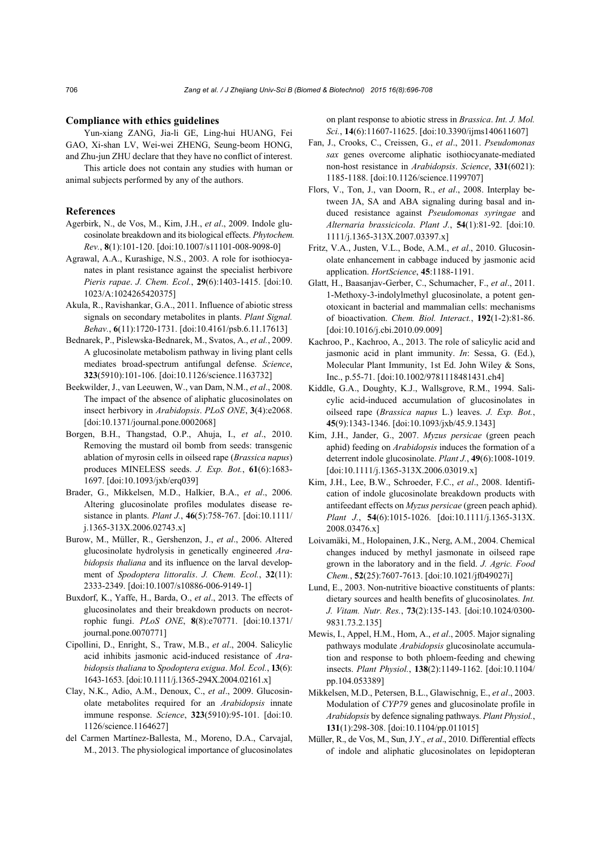#### **Compliance with ethics guidelines**

Yun-xiang ZANG, Jia-li GE, Ling-hui HUANG, Fei GAO, Xi-shan LV, Wei-wei ZHENG, Seung-beom HONG, and Zhu-jun ZHU declare that they have no conflict of interest.

This article does not contain any studies with human or animal subjects performed by any of the authors.

#### **References**

- Agerbirk, N., de Vos, M., Kim, J.H., *et al*., 2009. Indole glucosinolate breakdown and its biological effects. *Phytochem. Rev.*, **8**(1):101-120. [doi:10.1007/s11101-008-9098-0]
- Agrawal, A.A., Kurashige, N.S., 2003. A role for isothiocyanates in plant resistance against the specialist herbivore *Pieris rapae*. *J. Chem. Ecol.*, **29**(6):1403-1415. [doi:10. 1023/A:1024265420375]
- Akula, R., Ravishankar, G.A., 2011. Influence of abiotic stress signals on secondary metabolites in plants. *Plant Signal. Behav.*, **6**(11):1720-1731. [doi:10.4161/psb.6.11.17613]
- Bednarek, P., Pislewska-Bednarek, M., Svatos, A., *et al.*, 2009. A glucosinolate metabolism pathway in living plant cells mediates broad-spectrum antifungal defense. *Science*, **323**(5910):101-106. [doi:10.1126/science.1163732]
- Beekwilder, J., van Leeuwen, W., van Dam, N.M., *et al*., 2008. The impact of the absence of aliphatic glucosinolates on insect herbivory in *Arabidopsis*. *PLoS ONE*, **3**(4):e2068. [doi:10.1371/journal.pone.0002068]
- Borgen, B.H., Thangstad, O.P., Ahuja, I., *et al*., 2010. Removing the mustard oil bomb from seeds: transgenic ablation of myrosin cells in oilseed rape (*Brassica napus*) produces MINELESS seeds. *J. Exp. Bot.*, **61**(6):1683- 1697. [doi:10.1093/jxb/erq039]
- Brader, G., Mikkelsen, M.D., Halkier, B.A., *et al*., 2006. Altering glucosinolate profiles modulates disease resistance in plants. *Plant J.*, **46**(5):758-767. [doi:10.1111/ j.1365-313X.2006.02743.x]
- Burow, M., Müller, R., Gershenzon, J., *et al*., 2006. Altered glucosinolate hydrolysis in genetically engineered *Arabidopsis thaliana* and its influence on the larval development of *Spodoptera littoralis*. *J. Chem. Ecol.*, **32**(11): 2333-2349. [doi:10.1007/s10886-006-9149-1]
- Buxdorf, K., Yaffe, H., Barda, O., *et al*., 2013. The effects of glucosinolates and their breakdown products on necrotrophic fungi. *PLoS ONE*, **8**(8):e70771. [doi:10.1371/ journal.pone.0070771]
- Cipollini, D., Enright, S., Traw, M.B., *et al*., 2004. Salicylic acid inhibits jasmonic acid-induced resistance of *Arabidopsis thaliana* to *Spodoptera exigua*. *Mol. Ecol.*, **13**(6): 1643-1653. [doi:10.1111/j.1365-294X.2004.02161.x]
- Clay, N.K., Adio, A.M., Denoux, C., *et al*., 2009. Glucosinolate metabolites required for an *Arabidopsis* innate immune response. *Science*, **323**(5910):95-101. [doi:10. 1126/science.1164627]
- del Carmen Martínez-Ballesta, M., Moreno, D.A., Carvajal, M., 2013. The physiological importance of glucosinolates

on plant response to abiotic stress in *Brassica*. *Int. J. Mol. Sci.*, **14**(6):11607-11625. [doi:10.3390/ijms140611607]

- Fan, J., Crooks, C., Creissen, G., *et al*., 2011. *Pseudomonas sax* genes overcome aliphatic isothiocyanate-mediated non-host resistance in *Arabidopsis*. *Science*, **331**(6021): 1185-1188. [doi:10.1126/science.1199707]
- Flors, V., Ton, J., van Doorn, R., *et al*., 2008. Interplay between JA, SA and ABA signaling during basal and induced resistance against *Pseudomonas syringae* and *Alternaria brassicicola*. *Plant J.*, **54**(1):81-92. [doi:10. 1111/j.1365-313X.2007.03397.x]
- Fritz, V.A., Justen, V.L., Bode, A.M., *et al*., 2010. Glucosinolate enhancement in cabbage induced by jasmonic acid application. *HortScience*, **45**:1188-1191.
- Glatt, H., Baasanjav-Gerber, C., Schumacher, F., *et al*., 2011. 1-Methoxy-3-indolylmethyl glucosinolate, a potent genotoxicant in bacterial and mammalian cells: mechanisms of bioactivation. *Chem. Biol. Interact.*, **192**(1-2):81-86. [doi:10.1016/j.cbi.2010.09.009]
- Kachroo, P., Kachroo, A., 2013. The role of salicylic acid and jasmonic acid in plant immunity. *In*: Sessa, G. (Ed.), Molecular Plant Immunity, 1st Ed. John Wiley & Sons, Inc., p.55-71. [doi:10.1002/9781118481431.ch4]
- Kiddle, G.A., Doughty, K.J., Wallsgrove, R.M., 1994. Salicylic acid-induced accumulation of glucosinolates in oilseed rape (*Brassica napus* L.) leaves. *J. Exp. Bot.*, **45**(9):1343-1346. [doi:10.1093/jxb/45.9.1343]
- Kim, J.H., Jander, G., 2007. *Myzus persicae* (green peach aphid) feeding on *Arabidopsis* induces the formation of a deterrent indole glucosinolate. *Plant J.*, **49**(6):1008-1019. [doi:10.1111/j.1365-313X.2006.03019.x]
- Kim, J.H., Lee, B.W., Schroeder, F.C., *et al*., 2008. Identification of indole glucosinolate breakdown products with antifeedant effects on *Myzus persicae* (green peach aphid). *Plant J.*, **54**(6):1015-1026. [doi:10.1111/j.1365-313X. 2008.03476.x]
- Loivamäki, M., Holopainen, J.K., Nerg, A.M., 2004. Chemical changes induced by methyl jasmonate in oilseed rape grown in the laboratory and in the field. *J. Agric. Food Chem.*, **52**(25):7607-7613. [doi:10.1021/jf049027i]
- Lund, E., 2003. Non-nutritive bioactive constituents of plants: dietary sources and health benefits of glucosinolates. *Int. J. Vitam. Nutr. Res.*, **73**(2):135-143. [doi:10.1024/0300- 9831.73.2.135]
- Mewis, I., Appel, H.M., Hom, A., *et al*., 2005. Major signaling pathways modulate *Arabidopsis* glucosinolate accumulation and response to both phloem-feeding and chewing insects. *Plant Physiol.*, **138**(2):1149-1162. [doi:10.1104/ pp.104.053389]
- Mikkelsen, M.D., Petersen, B.L., Glawischnig, E., *et al*., 2003. Modulation of *CYP79* genes and glucosinolate profile in *Arabidopsis* by defence signaling pathways. *Plant Physiol.*, **131**(1):298-308. [doi:10.1104/pp.011015]
- Müller, R., de Vos, M., Sun, J.Y., *et al*., 2010. Differential effects of indole and aliphatic glucosinolates on lepidopteran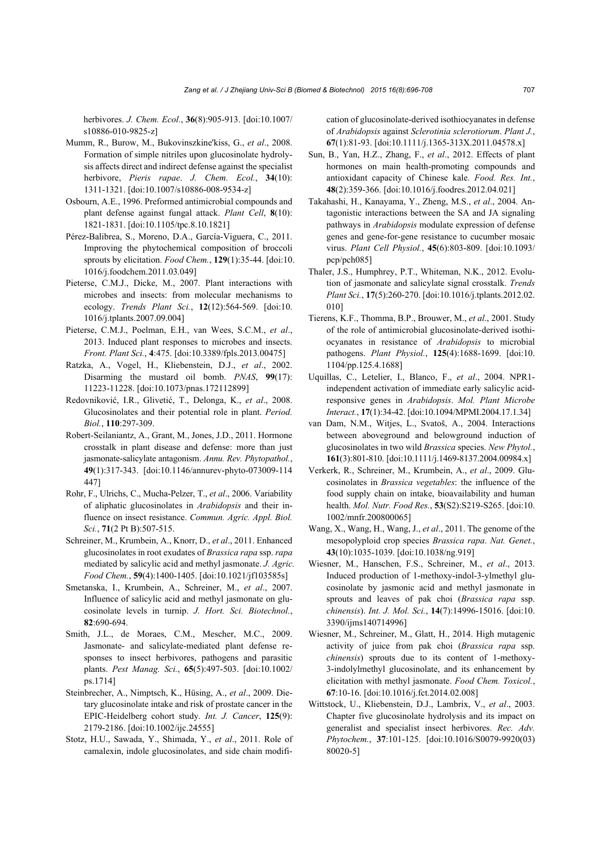herbivores. *J. Chem. Ecol.*, **36**(8):905-913. [doi:10.1007/ s10886-010-9825-z]

- Mumm, R., Burow, M., Bukovinszkine'kiss, G., *et al*., 2008. Formation of simple nitriles upon glucosinolate hydrolysis affects direct and indirect defense against the specialist herbivore, *Pieris rapae*. *J. Chem. Ecol.*, **34**(10): 1311-1321. [doi:10.1007/s10886-008-9534-z]
- Osbourn, A.E., 1996. Preformed antimicrobial compounds and plant defense against fungal attack. *Plant Cell*, **8**(10): 1821-1831. [doi:10.1105/tpc.8.10.1821]
- Pérez-Balibrea, S., Moreno, D.A., García-Viguera, C., 2011. Improving the phytochemical composition of broccoli sprouts by elicitation. *Food Chem.*, **129**(1):35-44. [doi:10. 1016/j.foodchem.2011.03.049]
- Pieterse, C.M.J., Dicke, M., 2007. Plant interactions with microbes and insects: from molecular mechanisms to ecology. *Trends Plant Sci.*, **12**(12):564-569. [doi:10. 1016/j.tplants.2007.09.004]
- Pieterse, C.M.J., Poelman, E.H., van Wees, S.C.M., *et al*., 2013. Induced plant responses to microbes and insects. *Front. Plant Sci.*, **4**:475. [doi:10.3389/fpls.2013.00475]
- Ratzka, A., Vogel, H., Kliebenstein, D.J., *et al*., 2002. Disarming the mustard oil bomb. *PNAS*, **99**(17): 11223-11228. [doi:10.1073/pnas.172112899]
- Redovniković, I.R., Glivetić, T., Delonga, K., *et al*., 2008. Glucosinolates and their potential role in plant. *Period. Biol.*, **110**:297-309.
- Robert-Seilaniantz, A., Grant, M., Jones, J.D., 2011. Hormone crosstalk in plant disease and defense: more than just jasmonate-salicylate antagonism. *Annu. Rev. Phytopathol.*, **49**(1):317-343. [doi:10.1146/annurev-phyto-073009-114 447]
- Rohr, F., Ulrichs, C., Mucha-Pelzer, T., *et al*., 2006. Variability of aliphatic glucosinolates in *Arabidopsis* and their influence on insect resistance. *Commun. Agric. Appl. Biol. Sci.*, **71**(2 Pt B):507-515.
- Schreiner, M., Krumbein, A., Knorr, D., *et al*., 2011. Enhanced glucosinolates in root exudates of *Brassica rapa* ssp. *rapa* mediated by salicylic acid and methyl jasmonate. *J. Agric. Food Chem.*, **59**(4):1400-1405. [doi:10.1021/jf103585s]
- Smetanska, I., Krumbein, A., Schreiner, M., *et al*., 2007. Influence of salicylic acid and methyl jasmonate on glucosinolate levels in turnip. *J. Hort. Sci. Biotechnol.*, **82**:690-694.
- Smith, J.L., de Moraes, C.M., Mescher, M.C., 2009. Jasmonate- and salicylate-mediated plant defense responses to insect herbivores, pathogens and parasitic plants. *Pest Manag. Sci.*, **65**(5):497-503. [doi:10.1002/ ps.1714]
- Steinbrecher, A., Nimptsch, K., Hüsing, A., *et al*., 2009. Dietary glucosinolate intake and risk of prostate cancer in the EPIC-Heidelberg cohort study. *Int. J. Cancer*, **125**(9): 2179-2186. [doi:10.1002/ijc.24555]
- Stotz, H.U., Sawada, Y., Shimada, Y., *et al*., 2011. Role of camalexin, indole glucosinolates, and side chain modifi-

cation of glucosinolate-derived isothiocyanates in defense of *Arabidopsis* against *Sclerotinia sclerotiorum*. *Plant J.*, **67**(1):81-93. [doi:10.1111/j.1365-313X.2011.04578.x]

- Sun, B., Yan, H.Z., Zhang, F., *et al*., 2012. Effects of plant hormones on main health-promoting compounds and antioxidant capacity of Chinese kale. *Food. Res. Int.*, **48**(2):359-366. [doi:10.1016/j.foodres.2012.04.021]
- Takahashi, H., Kanayama, Y., Zheng, M.S., *et al*., 2004. Antagonistic interactions between the SA and JA signaling pathways in *Arabidopsis* modulate expression of defense genes and gene-for-gene resistance to cucumber mosaic virus. *Plant Cell Physiol.*, **45**(6):803-809. [doi:10.1093/ pcp/pch085]
- Thaler, J.S., Humphrey, P.T., Whiteman, N.K., 2012. Evolution of jasmonate and salicylate signal crosstalk. *Trends Plant Sci.*, **17**(5):260-270. [doi:10.1016/j.tplants.2012.02. 010]
- Tierens, K.F., Thomma, B.P., Brouwer, M., *et al*., 2001. Study of the role of antimicrobial glucosinolate-derived isothiocyanates in resistance of *Arabidopsis* to microbial pathogens. *Plant Physiol.*, **125**(4):1688-1699. [doi:10. 1104/pp.125.4.1688]
- Uquillas, C., Letelier, I., Blanco, F., *et al*., 2004. NPR1 independent activation of immediate early salicylic acidresponsive genes in *Arabidopsis*. *Mol. Plant Microbe Interact.*, **17**(1):34-42. [doi:10.1094/MPMI.2004.17.1.34]
- van Dam, N.M., Witjes, L., Svatoš, A., 2004. Interactions between aboveground and belowground induction of glucosinolates in two wild *Brassica* species. *New Phytol.*, **161**(3):801-810. [doi:10.1111/j.1469-8137.2004.00984.x]
- Verkerk, R., Schreiner, M., Krumbein, A., *et al*., 2009. Glucosinolates in *Brassica vegetables*: the influence of the food supply chain on intake, bioavailability and human health. *Mol. Nutr. Food Res.*, **53**(S2):S219-S265. [doi:10. 1002/mnfr.200800065]
- Wang, X., Wang, H., Wang, J., *et al*., 2011. The genome of the mesopolyploid crop species *Brassica rapa*. *Nat. Genet.*, **43**(10):1035-1039. [doi:10.1038/ng.919]
- Wiesner, M., Hanschen, F.S., Schreiner, M., *et al*., 2013. Induced production of 1-methoxy-indol-3-ylmethyl glucosinolate by jasmonic acid and methyl jasmonate in sprouts and leaves of pak choi (*Brassica rapa* ssp. *chinensis*). *Int. J. Mol. Sci.*, **14**(7):14996-15016. [doi:10. 3390/ijms140714996]
- Wiesner, M., Schreiner, M., Glatt, H., 2014. High mutagenic activity of juice from pak choi (*Brassica rapa* ssp. *chinensis*) sprouts due to its content of 1-methoxy-3-indolylmethyl glucosinolate, and its enhancement by elicitation with methyl jasmonate. *Food Chem. Toxicol.*, **67**:10-16. [doi:10.1016/j.fct.2014.02.008]
- Wittstock, U., Kliebenstein, D.J., Lambrix, V., *et al*., 2003. Chapter five glucosinolate hydrolysis and its impact on generalist and specialist insect herbivores. *Rec. Adv. Phytochem.*, **37**:101-125. [doi:10.1016/S0079-9920(03) 80020-5]